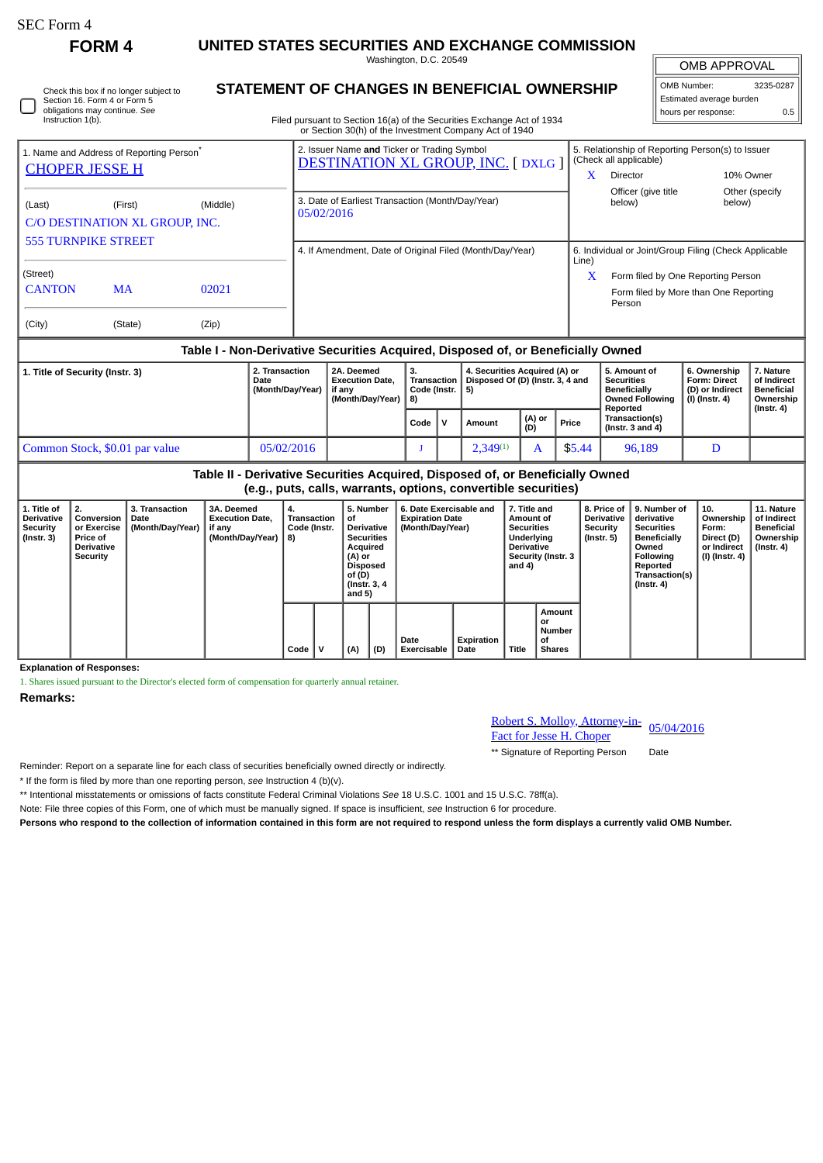∩

**FORM 4 UNITED STATES SECURITIES AND EXCHANGE COMMISSION**

Washington, D.C. 20549

| Check this box if no longer subject to |
|----------------------------------------|
| Section 16. Form 4 or Form 5           |
| obligations may continue. See          |
| Instruction 1(b).                      |

## **STATEMENT OF CHANGES IN BENEFICIAL OWNERSHIP**

Filed pursuant to Section 16(a) of the Securities Exchange Act of 1934 or Section 30(h) of the Investment Company Act of 1940

| OMB APPROVAL             |     |  |  |  |  |  |  |  |  |
|--------------------------|-----|--|--|--|--|--|--|--|--|
| OMB Number:<br>3235-0287 |     |  |  |  |  |  |  |  |  |
| Estimated average burden |     |  |  |  |  |  |  |  |  |
| hours per response:      | 0.5 |  |  |  |  |  |  |  |  |

| 1. Name and Address of Reporting Person <sup>®</sup><br><b>CHOPER JESSE H</b> |           |          | 2. Issuer Name and Ticker or Trading Symbol<br><b>DESTINATION XL GROUP, INC. [DXLG]</b> | 5. Relationship of Reporting Person(s) to Issuer<br>(Check all applicable) |                                                 |                 |  |  |
|-------------------------------------------------------------------------------|-----------|----------|-----------------------------------------------------------------------------------------|----------------------------------------------------------------------------|-------------------------------------------------|-----------------|--|--|
|                                                                               |           |          |                                                                                         | X                                                                          | Director                                        | 10% Owner       |  |  |
|                                                                               |           |          |                                                                                         |                                                                            | Officer (give title                             | Other (specify) |  |  |
| (Last)                                                                        | (First)   | (Middle) | 3. Date of Earliest Transaction (Month/Day/Year)<br>05/02/2016                          |                                                                            | below)                                          | below)          |  |  |
| C/O DESTINATION XL GROUP, INC.                                                |           |          |                                                                                         |                                                                            |                                                 |                 |  |  |
| <b>555 TURNPIKE STREET</b>                                                    |           |          |                                                                                         |                                                                            |                                                 |                 |  |  |
|                                                                               |           |          | 4. If Amendment, Date of Original Filed (Month/Day/Year)                                | 6. Individual or Joint/Group Filing (Check Applicable<br>Line)             |                                                 |                 |  |  |
| (Street)                                                                      |           |          |                                                                                         | X                                                                          | Form filed by One Reporting Person              |                 |  |  |
| <b>CANTON</b>                                                                 | <b>MA</b> | 02021    |                                                                                         |                                                                            | Form filed by More than One Reporting<br>Person |                 |  |  |
| (City)                                                                        | (State)   | (Zip)    |                                                                                         |                                                                            |                                                 |                 |  |  |

## **Table I - Non-Derivative Securities Acquired, Disposed of, or Beneficially Owned**

| 1. Title of Security (Instr. 3) | 2. Transaction<br>Date<br>(Month/Day/Year) | 2A. Deemed<br><b>Execution Date.</b><br>if anv<br>(Month/Day/Year) | з.<br>Transaction<br>Code (Instr. 1<br><b>8</b> |  | 4. Securities Acquired (A) or<br>Disposed Of (D) (Instr. 3, 4 and<br>-51 |               |        | 5. Amount of<br><b>Securities</b><br><b>Beneficially</b><br><b>Owned Following</b><br>Reported | 6. Ownership<br><b>Form: Direct</b><br>(D) or Indirect<br>(I) (Instr. 4) | 7. Nature<br>of Indirect<br><b>Beneficial</b><br>Ownership |
|---------------------------------|--------------------------------------------|--------------------------------------------------------------------|-------------------------------------------------|--|--------------------------------------------------------------------------|---------------|--------|------------------------------------------------------------------------------------------------|--------------------------------------------------------------------------|------------------------------------------------------------|
|                                 |                                            |                                                                    | Code                                            |  | Amount                                                                   | (A) or<br>(D) | Price  | Transaction(s)<br>(Instr. $3$ and $4$ )                                                        |                                                                          | $($ lnstr. 4 $)$                                           |
| Common Stock, \$0.01 par value  | 05/02/2016                                 |                                                                    |                                                 |  | $2.349^{(1)}$                                                            |               | \$5.44 | 96,189                                                                                         | D                                                                        |                                                            |

**Table II - Derivative Securities Acquired, Disposed of, or Beneficially Owned (e.g., puts, calls, warrants, options, convertible securities)**

| 1. Title of<br><b>Derivative</b><br><b>Security</b><br>(Instr. 3) | Conversion<br>or Exercise<br><b>Price of</b><br><b>Derivative</b><br><b>Security</b> | 3. Transaction<br>Date<br>(Month/Day/Year) | 3A. Deemed<br><b>Execution Date.</b><br>if any<br>(Month/Day/Year)   8) | 4.<br>Transaction<br>Code (Instr. |  | 5. Number<br>οf<br><b>Derivative</b><br><b>Securities</b><br>Acquired<br>(A) or<br><b>Disposed</b><br>of (D)<br>(Instr. 3, 4)<br>and 5) |     | 6. Date Exercisable and<br><b>Expiration Date</b><br>(Month/Day/Year) |                    | 7. Title and<br>Amount of<br><b>Securities</b><br>Underlying<br><b>Derivative</b><br>Security (Instr. 3<br>and 4) |                                               | <b>Derivative</b><br><b>Security</b><br>(Instr. 5) | 8. Price of 19. Number of<br>derivative<br><b>Securities</b><br>Beneficially<br>Owned<br><b>Following</b><br>Reported<br>Transaction(s)<br>$($ Instr. 4 $)$ | $^{\circ}$ 10.<br>Ownership<br>Form:<br>Direct (D)<br>or Indirect<br>(I) (Instr. 4) | 11. Nature<br>of Indirect<br><b>Beneficial</b><br>Ownership<br>(Instr. 4) |
|-------------------------------------------------------------------|--------------------------------------------------------------------------------------|--------------------------------------------|-------------------------------------------------------------------------|-----------------------------------|--|-----------------------------------------------------------------------------------------------------------------------------------------|-----|-----------------------------------------------------------------------|--------------------|-------------------------------------------------------------------------------------------------------------------|-----------------------------------------------|----------------------------------------------------|-------------------------------------------------------------------------------------------------------------------------------------------------------------|-------------------------------------------------------------------------------------|---------------------------------------------------------------------------|
|                                                                   |                                                                                      |                                            |                                                                         | $Code \vert$                      |  | (A)                                                                                                                                     | (D) | Date<br>Exercisable                                                   | Expiration<br>Date | Title                                                                                                             | Amount<br>or<br>Number<br>οf<br><b>Shares</b> |                                                    |                                                                                                                                                             |                                                                                     |                                                                           |

**Explanation of Responses:**

1. Shares issued pursuant to the Director's elected form of compensation for quarterly annual retainer.

**Remarks:**

Robert S. Molloy, Attorney-in-**EXECUTE: KODET S. MOLLOY, Attorney-in-** 05/04/2016<br>Fact for Jesse H. Choper

\*\* Signature of Reporting Person Date

Reminder: Report on a separate line for each class of securities beneficially owned directly or indirectly.

\* If the form is filed by more than one reporting person, *see* Instruction 4 (b)(v).

\*\* Intentional misstatements or omissions of facts constitute Federal Criminal Violations *See* 18 U.S.C. 1001 and 15 U.S.C. 78ff(a).

Note: File three copies of this Form, one of which must be manually signed. If space is insufficient, *see* Instruction 6 for procedure.

**Persons who respond to the collection of information contained in this form are not required to respond unless the form displays a currently valid OMB Number.**